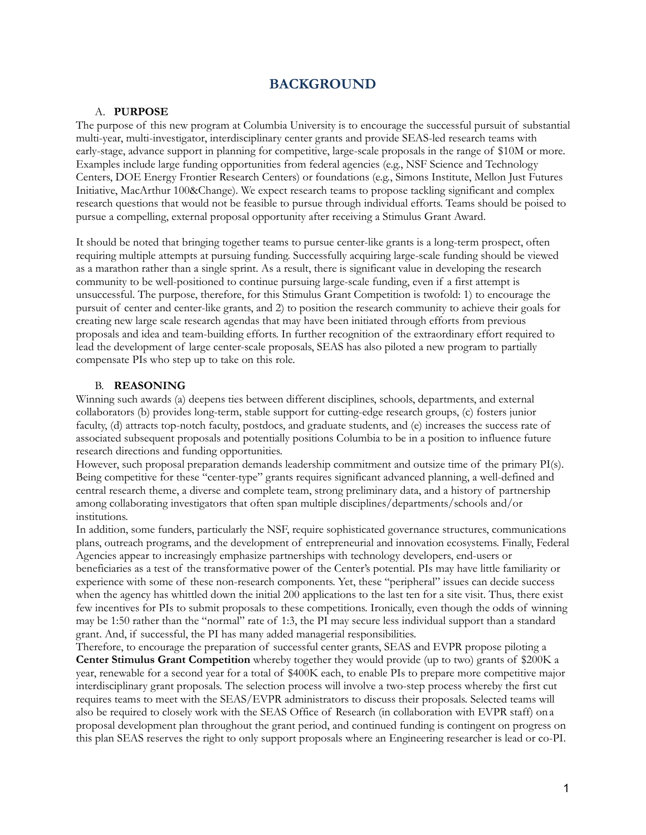## **BACKGROUND**

#### A. **PURPOSE**

The purpose of this new program at Columbia University is to encourage the successful pursuit of substantial multi-year, multi-investigator, interdisciplinary center grants and provide SEAS-led research teams with early-stage, advance support in planning for competitive, large-scale proposals in the range of \$10M or more. Examples include large funding opportunities from federal agencies (e.g., NSF Science and Technology Centers, DOE Energy Frontier Research Centers) or foundations (e.g., Simons Institute, Mellon Just Futures Initiative, MacArthur 100&Change). We expect research teams to propose tackling significant and complex research questions that would not be feasible to pursue through individual efforts. Teams should be poised to pursue a compelling, external proposal opportunity after receiving a Stimulus Grant Award.

It should be noted that bringing together teams to pursue center-like grants is a long-term prospect, often requiring multiple attempts at pursuing funding. Successfully acquiring large-scale funding should be viewed as a marathon rather than a single sprint. As a result, there is significant value in developing the research community to be well-positioned to continue pursuing large-scale funding, even if a first attempt is unsuccessful. The purpose, therefore, for this Stimulus Grant Competition is twofold: 1) to encourage the pursuit of center and center-like grants, and 2) to position the research community to achieve their goals for creating new large scale research agendas that may have been initiated through efforts from previous proposals and idea and team-building efforts. In further recognition of the extraordinary effort required to lead the development of large center-scale proposals, SEAS has also piloted a new program to partially compensate PIs who step up to take on this role.

#### B. **REASONING**

Winning such awards (a) deepens ties between different disciplines, schools, departments, and external collaborators (b) provides long-term, stable support for cutting-edge research groups, (c) fosters junior faculty, (d) attracts top-notch faculty, postdocs, and graduate students, and (e) increases the success rate of associated subsequent proposals and potentially positions Columbia to be in a position to influence future research directions and funding opportunities.

However, such proposal preparation demands leadership commitment and outsize time of the primary PI(s). Being competitive for these "center-type" grants requires significant advanced planning, a well-defined and central research theme, a diverse and complete team, strong preliminary data, and a history of partnership among collaborating investigators that often span multiple disciplines/departments/schools and/or institutions.

In addition, some funders, particularly the NSF, require sophisticated governance structures, communications plans, outreach programs, and the development of entrepreneurial and innovation ecosystems. Finally, Federal Agencies appear to increasingly emphasize partnerships with technology developers, end-users or beneficiaries as a test of the transformative power of the Center's potential. PIs may have little familiarity or experience with some of these non-research components. Yet, these "peripheral" issues can decide success when the agency has whittled down the initial 200 applications to the last ten for a site visit. Thus, there exist few incentives for PIs to submit proposals to these competitions. Ironically, even though the odds of winning may be 1:50 rather than the "normal" rate of 1:3, the PI may secure less individual support than a standard grant. And, if successful, the PI has many added managerial responsibilities.

Therefore, to encourage the preparation of successful center grants, SEAS and EVPR propose piloting a **Center Stimulus Grant Competition** whereby together they would provide (up to two) grants of \$200K a year, renewable for a second year for a total of \$400K each, to enable PIs to prepare more competitive major interdisciplinary grant proposals. The selection process will involve a two-step process whereby the first cut requires teams to meet with the SEAS/EVPR administrators to discuss their proposals. Selected teams will also be required to closely work with the SEAS Office of Research (in collaboration with EVPR staff) ona proposal development plan throughout the grant period, and continued funding is contingent on progress on this plan SEAS reserves the right to only support proposals where an Engineering researcher is lead or co-PI.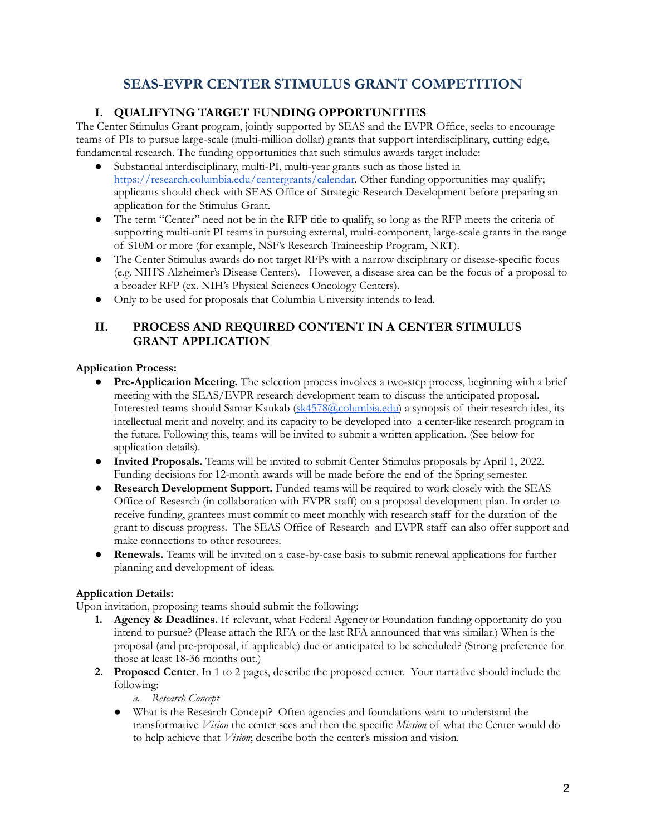# **SEAS-EVPR CENTER STIMULUS GRANT COMPETITION**

## **I. QUALIFYING TARGET FUNDING OPPORTUNITIES**

The Center Stimulus Grant program, jointly supported by SEAS and the EVPR Office, seeks to encourage teams of PIs to pursue large-scale (multi-million dollar) grants that support interdisciplinary, cutting edge, fundamental research. The funding opportunities that such stimulus awards target include:

- Substantial interdisciplinary, multi-PI, multi-year grants such as those listed in <https://research.columbia.edu/centergrants/calendar>. Other funding opportunities may qualify; applicants should check with SEAS Office of Strategic Research Development before preparing an application for the Stimulus Grant.
- The term "Center" need not be in the RFP title to qualify, so long as the RFP meets the criteria of supporting multi-unit PI teams in pursuing external, multi-component, large-scale grants in the range of \$10M or more (for example, NSF's Research Traineeship Program, NRT).
- The Center Stimulus awards do not target RFPs with a narrow disciplinary or disease-specific focus (e.g. NIH'S Alzheimer's Disease Centers). However, a disease area can be the focus of a proposal to a broader RFP (ex. NIH's Physical Sciences Oncology Centers).
- Only to be used for proposals that Columbia University intends to lead.

## **II. PROCESS AND REQUIRED CONTENT IN A CENTER STIMULUS GRANT APPLICATION**

## **Application Process:**

- **Pre-Application Meeting.** The selection process involves a two-step process, beginning with a brief meeting with the SEAS/EVPR research development team to discuss the anticipated proposal. Interested teams should Samar Kaukab ([sk4578@columbia.edu\)](mailto:sk4578@columbia.edu) a synopsis of their research idea, its intellectual merit and novelty, and its capacity to be developed into a center-like research program in the future. Following this, teams will be invited to submit a written application. (See below for application details).
- **Invited Proposals.** Teams will be invited to submit Center Stimulus proposals by April 1, 2022. Funding decisions for 12-month awards will be made before the end of the Spring semester.
- **Research Development Support.** Funded teams will be required to work closely with the SEAS Office of Research (in collaboration with EVPR staff) on a proposal development plan. In order to receive funding, grantees must commit to meet monthly with research staff for the duration of the grant to discuss progress. The SEAS Office of Research and EVPR staff can also offer support and make connections to other resources.
- **Renewals.** Teams will be invited on a case-by-case basis to submit renewal applications for further planning and development of ideas.

## **Application Details:**

Upon invitation, proposing teams should submit the following:

- **1. Agency & Deadlines.** If relevant, what Federal Agencyor Foundation funding opportunity do you intend to pursue? (Please attach the RFA or the last RFA announced that was similar.) When is the proposal (and pre-proposal, if applicable) due or anticipated to be scheduled? (Strong preference for those at least 18-36 months out.)
- **2. Proposed Center**. In 1 to 2 pages, describe the proposed center. Your narrative should include the following:
	- *a. Research Concept*
	- **●** What is the Research Concept? Often agencies and foundations want to understand the transformative *Vision* the center sees and then the specific *Mission* of what the Center would do to help achieve that *Vision*; describe both the center's mission and vision*.*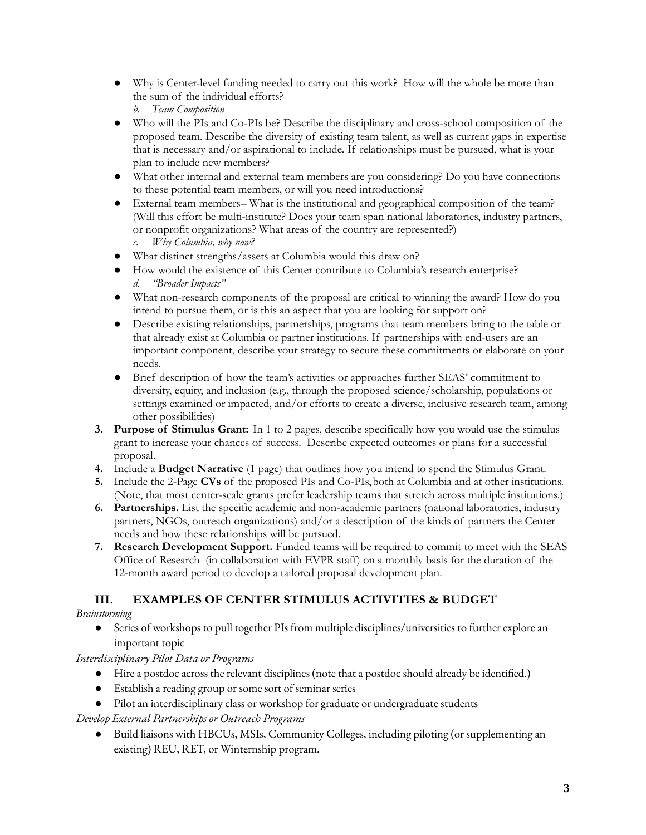- **●** Why is Center-level funding needed to carry out this work? How will the whole be more than the sum of the individual efforts?
	- *b. Team Composition*
- **●** Who will the PIs and Co-PIs be? Describe the disciplinary and cross-school composition of the proposed team. Describe the diversity of existing team talent, as well as current gaps in expertise that is necessary and/or aspirational to include. If relationships must be pursued, what is your plan to include new members?
- What other internal and external team members are you considering? Do you have connections to these potential team members, or will you need introductions?
- **●** External team members– What is the institutional and geographical composition of the team? (Will this effort be multi-institute? Does your team span national laboratories, industry partners, or nonprofit organizations? What areas of the country are represented?) *c. Why Columbia, why now?*
- **●** What distinct strengths/assets at Columbia would this draw on?
- **●** How would the existence of this Center contribute to Columbia's research enterprise? *d. "Broader Impacts"*
- **●** What non-research components of the proposal are critical to winning the award? How do you intend to pursue them, or is this an aspect that you are looking for support on?
- Describe existing relationships, partnerships, programs that team members bring to the table or that already exist at Columbia or partner institutions. If partnerships with end-users are an important component, describe your strategy to secure these commitments or elaborate on your needs.
- Brief description of how the team's activities or approaches further SEAS' commitment to diversity, equity, and inclusion (e.g., through the proposed science/scholarship, populations or settings examined or impacted, and/or efforts to create a diverse, inclusive research team, among other possibilities)
- **3. Purpose of Stimulus Grant:** In 1 to 2 pages, describe specifically how you would use the stimulus grant to increase your chances of success. Describe expected outcomes or plans for a successful proposal.
- **4.** Include a **Budget Narrative** (1 page) that outlines how you intend to spend the Stimulus Grant.
- **5.** Include the 2-Page **CVs** of the proposed PIs and Co-PIs,both at Columbia and at other institutions. (Note, that most center-scale grants prefer leadership teams that stretch across multiple institutions.)
- **6. Partnerships.** List the specific academic and non-academic partners (national laboratories, industry partners, NGOs, outreach organizations) and/or a description of the kinds of partners the Center needs and how these relationships will be pursued.
- **7. Research Development Support.** Funded teams will be required to commit to meet with the SEAS Office of Research (in collaboration with EVPR staff) on a monthly basis for the duration of the 12-month award period to develop a tailored proposal development plan.

# **III. EXAMPLES OF CENTER STIMULUS ACTIVITIES & BUDGET**

## *Brainstorming*

Series of workshops to pull together PIs from multiple disciplines/universities to further explore an important topic

*Interdisciplinary Pilot Data or Programs*

- Hire a postdoc across the relevant disciplines (note that a postdoc should already be identified.)
- Establish a reading group or some sort of seminar series
- Pilot an interdisciplinary class or workshop for graduate or undergraduate students

*Develop External Partnerships or Outreach Programs*

● Build liaisons with HBCUs, MSIs, Community Colleges, including piloting (or supplementing an existing) REU, RET, or Winternship program.